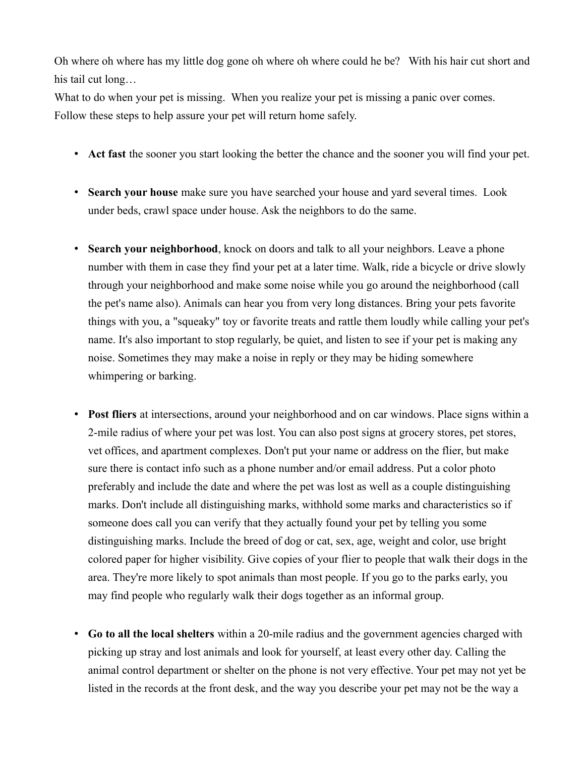Oh where oh where has my little dog gone oh where oh where could he be? With his hair cut short and his tail cut long…

What to do when your pet is missing. When you realize your pet is missing a panic over comes. Follow these steps to help assure your pet will return home safely.

- **Act fast** the sooner you start looking the better the chance and the sooner you will find your pet.
- **Search your house** make sure you have searched your house and yard several times. Look under beds, crawl space under house. Ask the neighbors to do the same.
- **Search your neighborhood**, knock on doors and talk to all your neighbors. Leave a phone number with them in case they find your pet at a later time. Walk, ride a bicycle or drive slowly through your neighborhood and make some noise while you go around the neighborhood (call the pet's name also). Animals can hear you from very long distances. Bring your pets favorite things with you, a "squeaky" toy or favorite treats and rattle them loudly while calling your pet's name. It's also important to stop regularly, be quiet, and listen to see if your pet is making any noise. Sometimes they may make a noise in reply or they may be hiding somewhere whimpering or barking.
- **Post fliers** at intersections, around your neighborhood and on car windows. Place signs within a 2-mile radius of where your pet was lost. You can also post signs at grocery stores, pet stores, vet offices, and apartment complexes. Don't put your name or address on the flier, but make sure there is contact info such as a phone number and/or email address. Put a color photo preferably and include the date and where the pet was lost as well as a couple distinguishing marks. Don't include all distinguishing marks, withhold some marks and characteristics so if someone does call you can verify that they actually found your pet by telling you some distinguishing marks. Include the breed of dog or cat, sex, age, weight and color, use bright colored paper for higher visibility. Give copies of your flier to people that walk their dogs in the area. They're more likely to spot animals than most people. If you go to the parks early, you may find people who regularly walk their dogs together as an informal group.
- **Go to all the local shelters** within a 20-mile radius and the government agencies charged with picking up stray and lost animals and look for yourself, at least every other day. Calling the animal control department or shelter on the phone is not very effective. Your pet may not yet be listed in the records at the front desk, and the way you describe your pet may not be the way a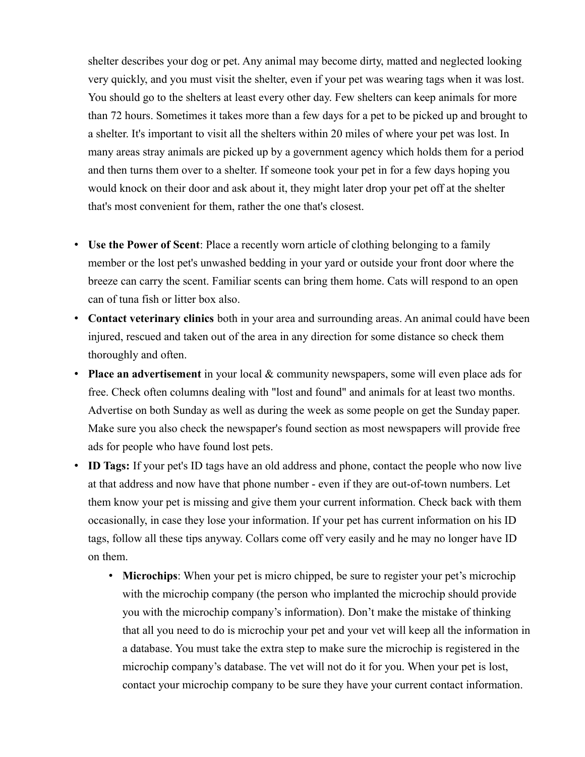shelter describes your dog or pet. Any animal may become dirty, matted and neglected looking very quickly, and you must visit the shelter, even if your pet was wearing tags when it was lost. You should go to the shelters at least every other day. Few shelters can keep animals for more than 72 hours. Sometimes it takes more than a few days for a pet to be picked up and brought to a shelter. It's important to visit all the shelters within 20 miles of where your pet was lost. In many areas stray animals are picked up by a government agency which holds them for a period and then turns them over to a shelter. If someone took your pet in for a few days hoping you would knock on their door and ask about it, they might later drop your pet off at the shelter that's most convenient for them, rather the one that's closest.

- **Use the Power of Scent**: Place a recently worn article of clothing belonging to a family member or the lost pet's unwashed bedding in your yard or outside your front door where the breeze can carry the scent. Familiar scents can bring them home. Cats will respond to an open can of tuna fish or litter box also.
- **Contact veterinary clinics** both in your area and surrounding areas. An animal could have been injured, rescued and taken out of the area in any direction for some distance so check them thoroughly and often.
- **Place an advertisement** in your local & community newspapers, some will even place ads for free. Check often columns dealing with "lost and found" and animals for at least two months. Advertise on both Sunday as well as during the week as some people on get the Sunday paper. Make sure you also check the newspaper's found section as most newspapers will provide free ads for people who have found lost pets.
- **ID Tags:** If your pet's ID tags have an old address and phone, contact the people who now live at that address and now have that phone number - even if they are out-of-town numbers. Let them know your pet is missing and give them your current information. Check back with them occasionally, in case they lose your information. If your pet has current information on his ID tags, follow all these tips anyway. Collars come off very easily and he may no longer have ID on them.
	- **Microchips**: When your pet is micro chipped, be sure to register your pet's microchip with the microchip company (the person who implanted the microchip should provide you with the microchip company's information). Don't make the mistake of thinking that all you need to do is microchip your pet and your vet will keep all the information in a database. You must take the extra step to make sure the microchip is registered in the microchip company's database. The vet will not do it for you. When your pet is lost, contact your microchip company to be sure they have your current contact information.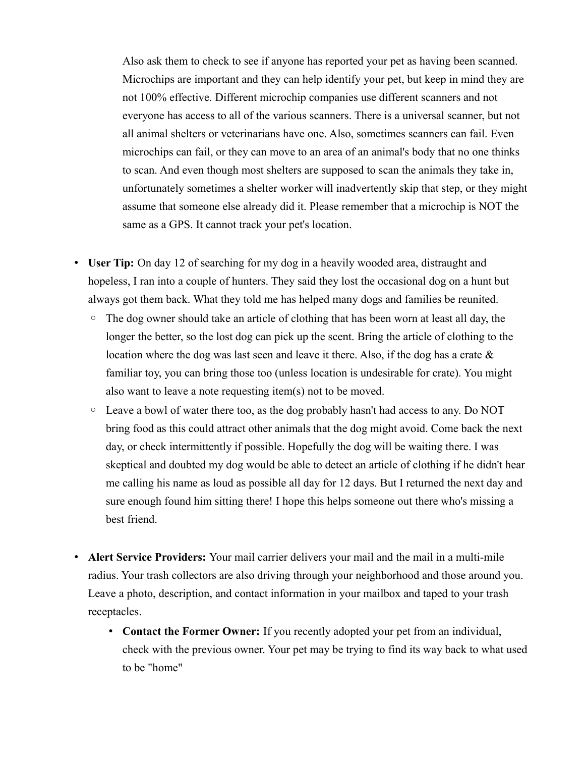Also ask them to check to see if anyone has reported your pet as having been scanned. Microchips are important and they can help identify your pet, but keep in mind they are not 100% effective. Different microchip companies use different scanners and not everyone has access to all of the various scanners. There is a universal scanner, but not all animal shelters or veterinarians have one. Also, sometimes scanners can fail. Even microchips can fail, or they can move to an area of an animal's body that no one thinks to scan. And even though most shelters are supposed to scan the animals they take in, unfortunately sometimes a shelter worker will inadvertently skip that step, or they might assume that someone else already did it. Please remember that a microchip is NOT the same as a GPS. It cannot track your pet's location.

- **User Tip:** On day 12 of searching for my dog in a heavily wooded area, distraught and hopeless, I ran into a couple of hunters. They said they lost the occasional dog on a hunt but always got them back. What they told me has helped many dogs and families be reunited.
	- The dog owner should take an article of clothing that has been worn at least all day, the longer the better, so the lost dog can pick up the scent. Bring the article of clothing to the location where the dog was last seen and leave it there. Also, if the dog has a crate & familiar toy, you can bring those too (unless location is undesirable for crate). You might also want to leave a note requesting item(s) not to be moved.
	- Leave a bowl of water there too, as the dog probably hasn't had access to any. Do NOT bring food as this could attract other animals that the dog might avoid. Come back the next day, or check intermittently if possible. Hopefully the dog will be waiting there. I was skeptical and doubted my dog would be able to detect an article of clothing if he didn't hear me calling his name as loud as possible all day for 12 days. But I returned the next day and sure enough found him sitting there! I hope this helps someone out there who's missing a best friend.
- **Alert Service Providers:** Your mail carrier delivers your mail and the mail in a multi-mile radius. Your trash collectors are also driving through your neighborhood and those around you. Leave a photo, description, and contact information in your mailbox and taped to your trash receptacles.
	- **Contact the Former Owner:** If you recently adopted your pet from an individual, check with the previous owner. Your pet may be trying to find its way back to what used to be "home"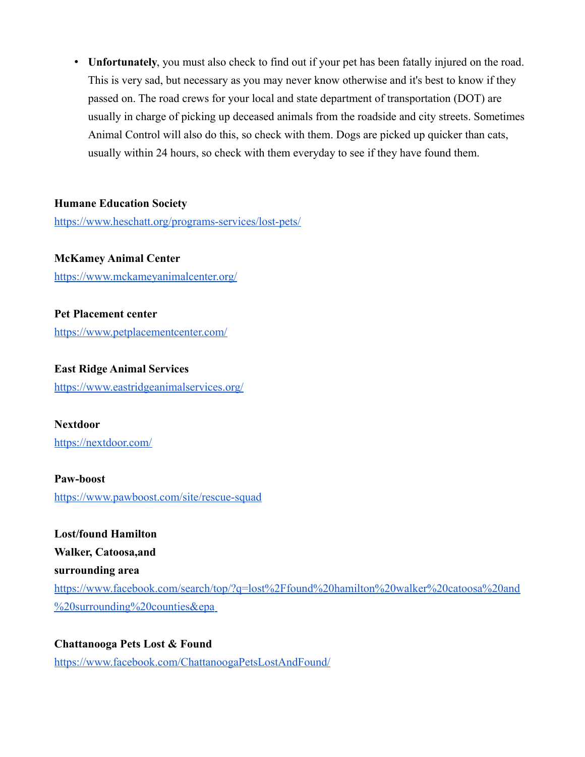• **Unfortunately**, you must also check to find out if your pet has been fatally injured on the road. This is very sad, but necessary as you may never know otherwise and it's best to know if they passed on. The road crews for your local and state department of transportation (DOT) are usually in charge of picking up deceased animals from the roadside and city streets. Sometimes Animal Control will also do this, so check with them. Dogs are picked up quicker than cats, usually within 24 hours, so check with them everyday to see if they have found them.

#### **Humane Education Society**

<https://www.heschatt.org/programs-services/lost-pets/>

**McKamey Animal Center** <https://www.mckameyanimalcenter.org/>

**Pet Placement center** <https://www.petplacementcenter.com/>

**East Ridge Animal Services** <https://www.eastridgeanimalservices.org/>

**Nextdoor** <https://nextdoor.com/>

**Paw-boost** <https://www.pawboost.com/site/rescue-squad>

**Lost/found Hamilton Walker, Catoosa,and surrounding area** [https://www.facebook.com/search/top/?q=lost%2Ffound%20hamilton%20walker%20catoosa%20and](https://www.facebook.com/search/top/?q=lost%2Ffound%20hamilton%20walker%20catoosa%20and%20surrounding%20counties&epa)  [%20surrounding%20counties&epa](https://www.facebook.com/search/top/?q=lost%2Ffound%20hamilton%20walker%20catoosa%20and%20surrounding%20counties&epa)

**Chattanooga Pets Lost & Found** <https://www.facebook.com/ChattanoogaPetsLostAndFound/>